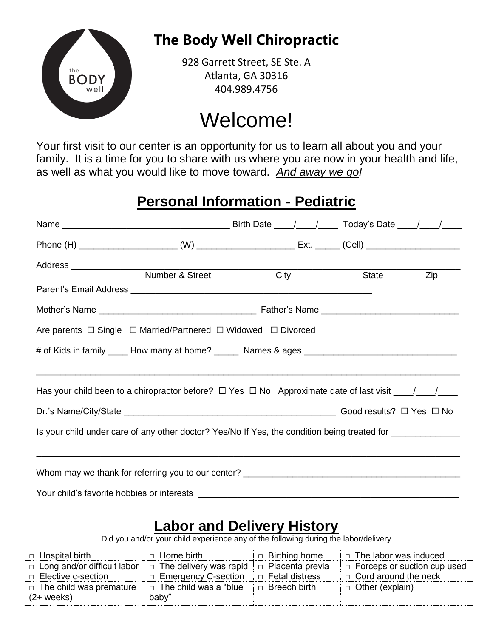

## **The Body Well Chiropractic**

928 Garrett Street, SE Ste. A Atlanta, GA 30316 404.989.4756

# Welcome!

Your first visit to our center is an opportunity for us to learn all about you and your family. It is a time for you to share with us where you are now in your health and life, as well as what you would like to move toward. *And away we go!*

## **Personal Information - Pediatric**

|                                                                                                            | Number & Street City |  |  | <b>State</b> | Zip |
|------------------------------------------------------------------------------------------------------------|----------------------|--|--|--------------|-----|
|                                                                                                            |                      |  |  |              |     |
| Are parents $\Box$ Single $\Box$ Married/Partnered $\Box$ Widowed $\Box$ Divorced                          |                      |  |  |              |     |
|                                                                                                            |                      |  |  |              |     |
|                                                                                                            |                      |  |  |              |     |
|                                                                                                            |                      |  |  |              |     |
|                                                                                                            |                      |  |  |              |     |
| Is your child under care of any other doctor? Yes/No If Yes, the condition being treated for _____________ |                      |  |  |              |     |
|                                                                                                            |                      |  |  |              |     |
| Whom may we thank for referring you to our center? ______________________________                          |                      |  |  |              |     |
| Your child's favorite hobbies or interests                                                                 |                      |  |  |              |     |

#### **Labor and Delivery History**

Did you and/or your child experience any of the following during the labor/delivery

| □ Hospital birth               | $\Box$ Home birth             | $\Box$ Birthing home   | $\Box$ The labor was induced       |
|--------------------------------|-------------------------------|------------------------|------------------------------------|
| □ Long and/or difficult labor  | $\Box$ The delivery was rapid | $\Box$ Placenta previa | $\Box$ Forceps or suction cup used |
| □ Elective c-section           | □ Emergency C-section         | □ Fetal distress       | $\Box$ Cord around the neck        |
| $\Box$ The child was premature | $\Box$ The child was a "blue" | $\Box$ Breech birth    | $\Box$ Other (explain)             |
| $(2 + \text{ weeks})$          | baby"                         |                        |                                    |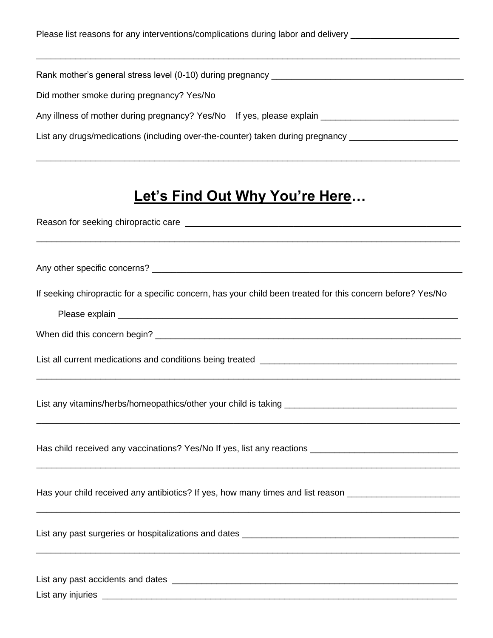| Please list reasons for any interventions/complications during labor and delivery                    |  |
|------------------------------------------------------------------------------------------------------|--|
| Rank mother's general stress level (0-10) during pregnancy ______________________                    |  |
| Did mother smoke during pregnancy? Yes/No                                                            |  |
| Any illness of mother during pregnancy? Yes/No If yes, please explain ______________________________ |  |
| List any drugs/medications (including over-the-counter) taken during pregnancy                       |  |

## **Let's Find Out Why You're Here…**

| If seeking chiropractic for a specific concern, has your child been treated for this concern before? Yes/No |
|-------------------------------------------------------------------------------------------------------------|
|                                                                                                             |
|                                                                                                             |
|                                                                                                             |
|                                                                                                             |
|                                                                                                             |
| Has your child received any antibiotics? If yes, how many times and list reason ____________________        |
|                                                                                                             |
| List any injuries ______________                                                                            |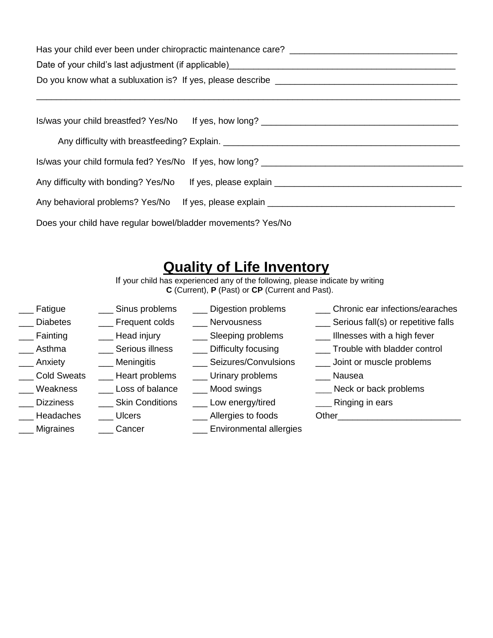| Has your child ever been under chiropractic maintenance care? ___________________ |  |  |
|-----------------------------------------------------------------------------------|--|--|
|                                                                                   |  |  |
|                                                                                   |  |  |
|                                                                                   |  |  |
| Is/was your child formula fed? Yes/No If yes, how long?                           |  |  |
| Any difficulty with bonding? Yes/No If yes, please explain _____________________  |  |  |
| Any behavioral problems? Yes/No If yes, please explain _________________________  |  |  |
| Does your child have regular bowel/bladder movements? Yes/No                      |  |  |

#### **Quality of Life Inventory**

If your child has experienced any of the following, please indicate by writing **C** (Current), **P** (Past) or **CP** (Current and Past).

| Fatigue            | Sinus problems         | Digestion problems             | Chronic ear infections/earaches         |
|--------------------|------------------------|--------------------------------|-----------------------------------------|
| <b>Diabetes</b>    | Frequent colds         | Nervousness                    | ___ Serious fall(s) or repetitive falls |
| Fainting           | Head injury            | ___ Sleeping problems          | Illnesses with a high fever             |
| Asthma             | Serious illness        | Difficulty focusing            | Trouble with bladder control            |
| Anxiety            | <u>_</u> __ Meningitis | ___ Seizures/Convulsions       | ___ Joint or muscle problems            |
| <b>Cold Sweats</b> | ___ Heart problems     | ___ Urinary problems           | Nausea                                  |
| Weakness           | Loss of balance        | ___ Mood swings                | Neck or back problems                   |
| <b>Dizziness</b>   | <b>Skin Conditions</b> | Low energy/tired               | Ringing in ears                         |
| Headaches          | <b>Ulcers</b>          | _ Allergies to foods           | Other                                   |
| Migraines          | Cancer                 | <b>Environmental allergies</b> |                                         |